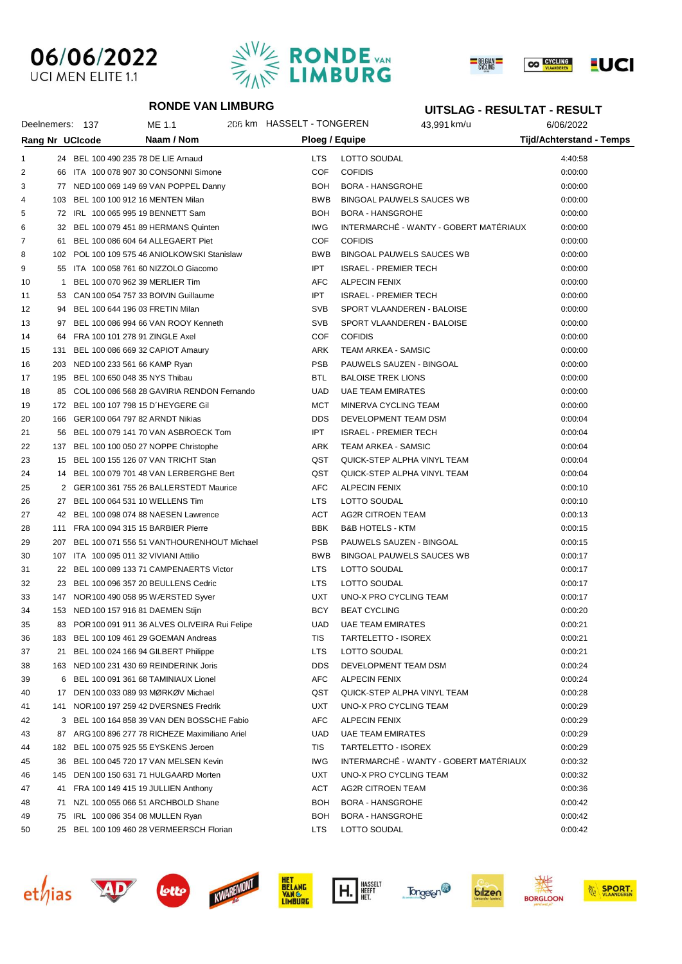# 06/06/2022 UCI MEN ELITE 1.1





#### **RONDE VAN LIMBURG**

### **UITSLAG - RESULTAT - RESULT**

| Deelnemers: 137 |    |                                        | ME 1.1                                          | 206 km HASSELT - TONGEREN |                      | 43,991 km/u                            | 6/06/2022                |  |
|-----------------|----|----------------------------------------|-------------------------------------------------|---------------------------|----------------------|----------------------------------------|--------------------------|--|
| Rang Nr UCIcode |    |                                        | Naam / Nom                                      | Ploeg / Equipe            |                      |                                        | Tijd/Achterstand - Temps |  |
| 1               |    | 24 BEL 100 490 235 78 DE LIE Arnaud    |                                                 | <b>LTS</b>                | LOTTO SOUDAL         |                                        | 4:40:58                  |  |
| 2               |    |                                        | 66 ITA 100 078 907 30 CONSONNI Simone           | COF                       | <b>COFIDIS</b>       |                                        | 0:00:00                  |  |
| 3               |    |                                        | 77 NED 100 069 149 69 VAN POPPEL Danny          | <b>BOH</b>                |                      | <b>BORA - HANSGROHE</b>                | 0:00:00                  |  |
| 4               |    | 103 BEL 100 100 912 16 MENTEN Milan    |                                                 | <b>BWB</b>                |                      | <b>BINGOAL PAUWELS SAUCES WB</b>       | 0:00:00                  |  |
| 5               |    | 72 IRL 100 065 995 19 BENNETT Sam      |                                                 | <b>BOH</b>                |                      | <b>BORA - HANSGROHE</b>                | 0:00:00                  |  |
| 6               |    |                                        | 32 BEL 100 079 451 89 HERMANS Quinten           | IWG                       |                      | INTERMARCHÉ - WANTY - GOBERT MATÉRIAUX | 0:00:00                  |  |
| 7               |    |                                        | 61 BEL 100 086 604 64 ALLEGAERT Piet            | COF                       | <b>COFIDIS</b>       |                                        | 0:00:00                  |  |
| 8               |    |                                        | 102 POL 100 109 575 46 ANIOLKOWSKI Stanislaw    | <b>BWB</b>                |                      | <b>BINGOAL PAUWELS SAUCES WB</b>       | 0:00:00                  |  |
| 9               |    |                                        | 55 ITA 100 058 761 60 NIZZOLO Giacomo           | <b>IPT</b>                |                      | <b>ISRAEL - PREMIER TECH</b>           | 0:00:00                  |  |
| 10              |    | 1 BEL 100 070 962 39 MERLIER Tim       |                                                 | AFC                       | <b>ALPECIN FENIX</b> |                                        | 0:00:00                  |  |
| 11              |    |                                        | 53 CAN 100 054 757 33 BOIVIN Guillaume          | <b>IPT</b>                |                      | <b>ISRAEL - PREMIER TECH</b>           | 0:00:00                  |  |
| 12              |    | 94 BEL 100 644 196 03 FRETIN Milan     |                                                 | <b>SVB</b>                |                      | SPORT VLAANDEREN - BALOISE             | 0:00:00                  |  |
| 13              |    |                                        | 97 BEL 100 086 994 66 VAN ROOY Kenneth          | <b>SVB</b>                |                      | SPORT VLAANDEREN - BALOISE             | 0:00:00                  |  |
| 14              |    | 64 FRA 100 101 278 91 ZINGLE Axel      |                                                 | COF                       | <b>COFIDIS</b>       |                                        | 0:00:00                  |  |
| 15              |    |                                        | 131 BEL 100 086 669 32 CAPIOT Amaury            | ARK                       |                      | TEAM ARKEA - SAMSIC                    | 0:00:00                  |  |
| 16              |    | 203 NED 100 233 561 66 KAMP Ryan       |                                                 | <b>PSB</b>                |                      | PAUWELS SAUZEN - BINGOAL               | 0:00:00                  |  |
| 17              |    | 195 BEL 100 650 048 35 NYS Thibau      |                                                 | <b>BTL</b>                |                      | <b>BALOISE TREK LIONS</b>              | 0:00:00                  |  |
| 18              |    |                                        | 85 COL 100 086 568 28 GAVIRIA RENDON Fernando   | UAD                       |                      | <b>UAE TEAM EMIRATES</b>               | 0:00:00                  |  |
| 19              |    |                                        | 172 BEL 100 107 798 15 D'HEYGERE Gil            | <b>MCT</b>                |                      | MINERVA CYCLING TEAM                   | 0:00:00                  |  |
| 20              |    | 166 GER 100 064 797 82 ARNDT Nikias    |                                                 | <b>DDS</b>                |                      | DEVELOPMENT TEAM DSM                   | 0:00:04                  |  |
| 21              |    |                                        | 56 BEL 100 079 141 70 VAN ASBROECK Tom          | IPT.                      |                      | <b>ISRAEL - PREMIER TECH</b>           | 0:00:04                  |  |
| 22              |    |                                        | 137 BEL 100 100 050 27 NOPPE Christophe         | ARK                       |                      | TEAM ARKEA - SAMSIC                    | 0:00:04                  |  |
| 23              |    |                                        | 15 BEL 100 155 126 07 VAN TRICHT Stan           | QST                       |                      | QUICK-STEP ALPHA VINYL TEAM            | 0:00:04                  |  |
| 24              |    |                                        | 14 BEL 100 079 701 48 VAN LERBERGHE Bert        | QST                       |                      | QUICK-STEP ALPHA VINYL TEAM            | 0:00:04                  |  |
| 25              |    |                                        | 2 GER 100 361 755 26 BALLERSTEDT Maurice        | AFC                       | <b>ALPECIN FENIX</b> |                                        | 0:00:10                  |  |
| 26              |    | 27 BEL 100 064 531 10 WELLENS Tim      |                                                 | <b>LTS</b>                | LOTTO SOUDAL         |                                        | 0:00:10                  |  |
| 27              |    |                                        | 42 BEL 100 098 074 88 NAESEN Lawrence           | ACT                       |                      | AG2R CITROEN TEAM                      | 0:00:13                  |  |
| 28              |    | 111 FRA 100 094 315 15 BARBIER Pierre  |                                                 | BBK                       |                      | <b>B&amp;B HOTELS - KTM</b>            | 0:00:15                  |  |
| 29              |    |                                        | 207 BEL 100 071 556 51 VANTHOURENHOUT Michael   | <b>PSB</b>                |                      | PAUWELS SAUZEN - BINGOAL               | 0:00:15                  |  |
| 30              |    | 107 ITA 100 095 011 32 VIVIANI Attilio |                                                 | <b>BWB</b>                |                      | <b>BINGOAL PAUWELS SAUCES WB</b>       | 0:00:17                  |  |
| 31              |    |                                        | 22 BEL 100 089 133 71 CAMPENAERTS Victor        | LTS.                      | LOTTO SOUDAL         |                                        | 0:00:17                  |  |
| 32              |    |                                        | 23 BEL 100 096 357 20 BEULLENS Cedric           | <b>LTS</b>                | LOTTO SOUDAL         |                                        | 0:00:17                  |  |
| 33              |    |                                        | 147 NOR 100 490 058 95 WÆRSTED Syver            | UXT                       |                      | UNO-X PRO CYCLING TEAM                 | 0:00:17                  |  |
| 34              |    | 153 NED 100 157 916 81 DAEMEN Stijn    |                                                 | BCY                       | <b>BEAT CYCLING</b>  |                                        | 0:00:20                  |  |
| 35              |    |                                        | 83 POR 100 091 911 36 ALVES OLIVEIRA Rui Felipe | UAD                       |                      | <b>UAE TEAM EMIRATES</b>               | 0:00:21                  |  |
| 36              |    |                                        | 183 BEL 100 109 461 29 GOEMAN Andreas           | TIS                       |                      | TARTELETTO - ISOREX                    | 0:00:21                  |  |
| 37              |    |                                        | 21 BEL 100 024 166 94 GILBERT Philippe          | LTS                       | LOTTO SOUDAL         |                                        | 0:00:21                  |  |
| 38              |    |                                        | 163 NED 100 231 430 69 REINDERINK Joris         | <b>DDS</b>                |                      | DEVELOPMENT TEAM DSM                   | 0:00:24                  |  |
| 39              |    |                                        | 6 BEL 100 091 361 68 TAMINIAUX Lionel           | AFC                       | <b>ALPECIN FENIX</b> |                                        | 0:00:24                  |  |
| 40              |    |                                        | 17 DEN 100 033 089 93 MØRKØV Michael            | QST                       |                      | QUICK-STEP ALPHA VINYL TEAM            | 0:00:28                  |  |
| 41              |    |                                        | 141 NOR 100 197 259 42 DVERSNES Fredrik         | UXT                       |                      | UNO-X PRO CYCLING TEAM                 | 0:00:29                  |  |
| 42              |    |                                        | 3 BEL 100 164 858 39 VAN DEN BOSSCHE Fabio      | AFC                       | <b>ALPECIN FENIX</b> |                                        | 0:00:29                  |  |
| 43              |    |                                        | 87 ARG 100 896 277 78 RICHEZE Maximiliano Ariel | UAD                       |                      | <b>UAE TEAM EMIRATES</b>               | 0:00:29                  |  |
| 44              |    |                                        | 182 BEL 100 075 925 55 EYSKENS Jeroen           | TIS                       |                      | TARTELETTO - ISOREX                    | 0:00:29                  |  |
| 45              |    |                                        | 36 BEL 100 045 720 17 VAN MELSEN Kevin          | <b>IWG</b>                |                      | INTERMARCHÉ - WANTY - GOBERT MATÉRIAUX | 0:00:32                  |  |
| 46              |    |                                        | 145 DEN 100 150 631 71 HULGAARD Morten          | UXT                       |                      | UNO-X PRO CYCLING TEAM                 | 0:00:32                  |  |
| 47              |    |                                        | 41 FRA 100 149 415 19 JULLIEN Anthony           | ACT                       |                      | AG2R CITROEN TEAM                      | 0:00:36                  |  |
| 48              | 71 |                                        | NZL 100 055 066 51 ARCHBOLD Shane               | <b>BOH</b>                |                      | <b>BORA - HANSGROHE</b>                | 0:00:42                  |  |
| 49              | 75 | IRL 100 086 354 08 MULLEN Ryan         |                                                 | <b>BOH</b>                |                      | <b>BORA - HANSGROHE</b>                | 0:00:42                  |  |
| 50              |    |                                        | 25 BEL 100 109 460 28 VERMEERSCH Florian        | <b>LTS</b>                | LOTTO SOUDAL         |                                        | 0:00:42                  |  |















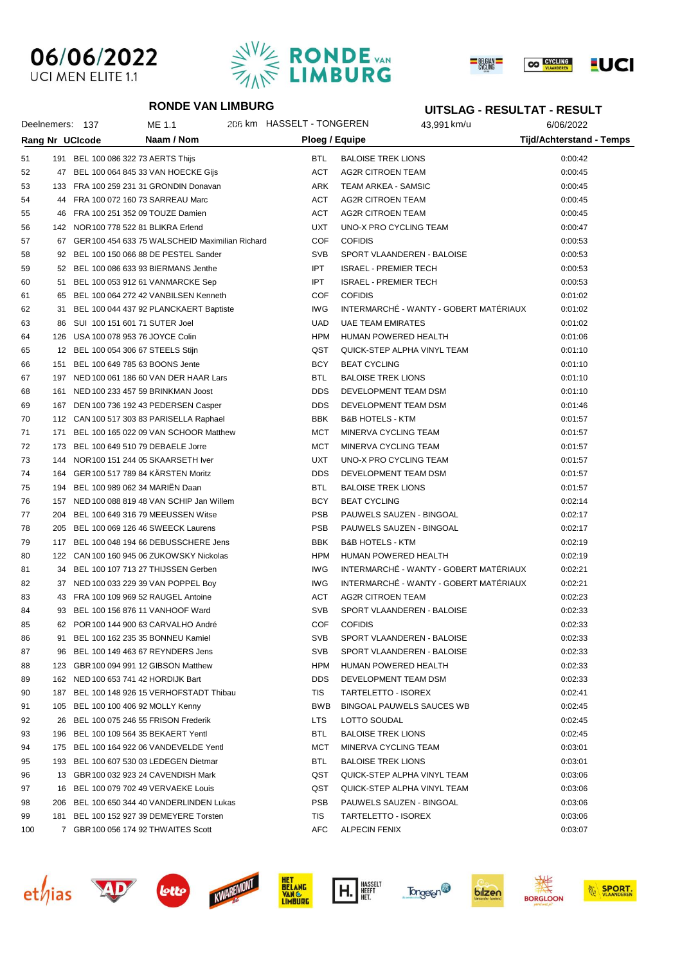# 06/06/2022 UCI MEN ELITE 1.1





#### **RONDE VAN LIMBURG**

### **UITSLAG - RESULTAT - RESULT**

|     |     | Deelnemers: 137                      | ME 1.1                                             | 206 km HASSELT - TONGEREN |                              | 43,991 km/u                            | 6/06/2022                       |
|-----|-----|--------------------------------------|----------------------------------------------------|---------------------------|------------------------------|----------------------------------------|---------------------------------|
|     |     | Rang Nr UCIcode                      | Naam / Nom                                         | Ploeg / Equipe            |                              |                                        | <b>Tijd/Achterstand - Temps</b> |
| 51  |     | 191 BEL 100 086 322 73 AERTS Thijs   |                                                    | <b>BTL</b>                | <b>BALOISE TREK LIONS</b>    |                                        | 0:00:42                         |
| 52  |     |                                      | 47 BEL 100 064 845 33 VAN HOECKE Gijs              | <b>ACT</b>                | AG2R CITROEN TEAM            |                                        | 0:00:45                         |
| 53  |     |                                      | 133 FRA 100 259 231 31 GRONDIN Donavan             | ARK                       | TEAM ARKEA - SAMSIC          |                                        | 0:00:45                         |
| 54  |     |                                      | 44 FRA 100 072 160 73 SARREAU Marc                 | <b>ACT</b>                | AG2R CITROEN TEAM            |                                        | 0:00:45                         |
| 55  |     |                                      | 46 FRA 100 251 352 09 TOUZE Damien                 | <b>ACT</b>                | AG2R CITROEN TEAM            |                                        | 0:00:45                         |
| 56  |     | 142 NOR 100 778 522 81 BLIKRA Erlend |                                                    | <b>UXT</b>                | UNO-X PRO CYCLING TEAM       |                                        | 0:00:47                         |
| 57  |     |                                      | 67 GER 100 454 633 75 WALSCHEID Maximilian Richard | <b>COF</b>                | <b>COFIDIS</b>               |                                        | 0:00:53                         |
| 58  |     |                                      | 92 BEL 100 150 066 88 DE PESTEL Sander             | <b>SVB</b>                |                              | SPORT VLAANDEREN - BALOISE             | 0:00:53                         |
| 59  |     |                                      | 52 BEL 100 086 633 93 BIERMANS Jenthe              | IPT.                      | <b>ISRAEL - PREMIER TECH</b> |                                        | 0:00:53                         |
| 60  |     |                                      | 51 BEL 100 053 912 61 VANMARCKE Sep                | <b>IPT</b>                | <b>ISRAEL - PREMIER TECH</b> |                                        | 0:00:53                         |
| 61  |     |                                      | 65 BEL 100 064 272 42 VANBILSEN Kenneth            | <b>COF</b>                | <b>COFIDIS</b>               |                                        | 0:01:02                         |
| 62  |     |                                      | 31 BEL 100 044 437 92 PLANCKAERT Baptiste          | <b>IWG</b>                |                              | INTERMARCHÉ - WANTY - GOBERT MATÉRIAUX | 0:01:02                         |
| 63  |     | 86 SUI 100 151 601 71 SUTER Joel     |                                                    | <b>UAD</b>                | <b>UAE TEAM EMIRATES</b>     |                                        | 0:01:02                         |
| 64  |     | 126 USA 100 078 953 76 JOYCE Colin   |                                                    | HPM                       | HUMAN POWERED HEALTH         |                                        | 0:01:06                         |
| 65  |     | 12 BEL 100 054 306 67 STEELS Stijn   |                                                    | QST                       |                              | QUICK-STEP ALPHA VINYL TEAM            | 0:01:10                         |
| 66  |     | 151 BEL 100 649 785 63 BOONS Jente   |                                                    | <b>BCY</b>                | <b>BEAT CYCLING</b>          |                                        | 0:01:10                         |
| 67  |     |                                      | 197 NED 100 061 186 60 VAN DER HAAR Lars           | <b>BTL</b>                | <b>BALOISE TREK LIONS</b>    |                                        | 0:01:10                         |
| 68  |     |                                      | 161 NED 100 233 457 59 BRINKMAN Joost              | <b>DDS</b>                | DEVELOPMENT TEAM DSM         |                                        | 0:01:10                         |
| 69  |     |                                      | 167 DEN 100 736 192 43 PEDERSEN Casper             | <b>DDS</b>                | DEVELOPMENT TEAM DSM         |                                        | 0:01:46                         |
| 70  |     |                                      | 112 CAN 100 517 303 83 PARISELLA Raphael           | <b>BBK</b>                | <b>B&amp;B HOTELS - KTM</b>  |                                        | 0:01:57                         |
| 71  |     |                                      | 171 BEL 100 165 022 09 VAN SCHOOR Matthew          | MCT                       | MINERVA CYCLING TEAM         |                                        | 0:01:57                         |
| 72  |     |                                      | 173 BEL 100 649 510 79 DEBAELE Jorre               | MCT                       | MINERVA CYCLING TEAM         |                                        | 0:01:57                         |
| 73  |     |                                      | 144 NOR 100 151 244 05 SKAARSETH Iver              | <b>UXT</b>                | UNO-X PRO CYCLING TEAM       |                                        | 0:01:57                         |
| 74  |     |                                      | 164 GER 100 517 789 84 KÄRSTEN Moritz              | <b>DDS</b>                | DEVELOPMENT TEAM DSM         |                                        | 0:01:57                         |
| 75  |     | 194 BEL 100 989 062 34 MARIEN Daan   |                                                    | <b>BTL</b>                | <b>BALOISE TREK LIONS</b>    |                                        | 0:01:57                         |
| 76  |     |                                      | 157 NED 100 088 819 48 VAN SCHIP Jan Willem        | BCY                       | <b>BEAT CYCLING</b>          |                                        | 0:02:14                         |
| 77  |     |                                      | 204 BEL 100 649 316 79 MEEUSSEN Witse              | <b>PSB</b>                |                              | PAUWELS SAUZEN - BINGOAL               | 0:02:17                         |
| 78  |     |                                      | 205 BEL 100 069 126 46 SWEECK Laurens              | <b>PSB</b>                |                              | PAUWELS SAUZEN - BINGOAL               | 0:02:17                         |
| 79  |     |                                      | 117 BEL 100 048 194 66 DEBUSSCHERE Jens            | <b>BBK</b>                | <b>B&amp;B HOTELS - KTM</b>  |                                        | 0:02:19                         |
| 80  |     |                                      | 122 CAN 100 160 945 06 ZUKOWSKY Nickolas           | HPM                       | HUMAN POWERED HEALTH         |                                        | 0:02:19                         |
| 81  |     |                                      | 34 BEL 100 107 713 27 THIJSSEN Gerben              | IWG                       |                              | INTERMARCHÉ - WANTY - GOBERT MATÉRIAUX | 0:02:21                         |
| 82  |     |                                      | 37 NED 100 033 229 39 VAN POPPEL Boy               | IWG                       |                              | INTERMARCHÉ - WANTY - GOBERT MATÉRIAUX | 0:02:21                         |
| 83  |     |                                      | 43 FRA 100 109 969 52 RAUGEL Antoine               | ACT                       | <b>AG2R CITROEN TEAM</b>     |                                        | 0:02:23                         |
| 84  |     |                                      | 93 BEL 100 156 876 11 VANHOOF Ward                 | <b>SVB</b>                |                              | SPORT VLAANDEREN - BALOISE             | 0:02:33                         |
| 85  |     |                                      | 62 POR 100 144 900 63 CARVALHO André               | <b>COF</b>                | <b>COFIDIS</b>               |                                        | 0:02:33                         |
| 86  | 91  |                                      | BEL 100 162 235 35 BONNEU Kamiel                   | SVB                       |                              | SPORT VLAANDEREN - BALOISE             | 0:02:33                         |
| 87  | 96  |                                      | BEL 100 149 463 67 REYNDERS Jens                   | <b>SVB</b>                |                              | SPORT VLAANDEREN - BALOISE             | 0:02:33                         |
| 88  |     |                                      | 123 GBR 100 094 991 12 GIBSON Matthew              | <b>HPM</b>                | HUMAN POWERED HEALTH         |                                        | 0:02:33                         |
| 89  |     | 162 NED 100 653 741 42 HORDIJK Bart  |                                                    | <b>DDS</b>                | DEVELOPMENT TEAM DSM         |                                        | 0:02:33                         |
| 90  |     |                                      | 187 BEL 100 148 926 15 VERHOFSTADT Thibau          | TIS                       | TARTELETTO - ISOREX          |                                        | 0:02:41                         |
| 91  |     | 105 BEL 100 100 406 92 MOLLY Kenny   |                                                    | <b>BWB</b>                |                              | BINGOAL PAUWELS SAUCES WB              | 0:02:45                         |
| 92  | 26  |                                      | BEL 100 075 246 55 FRISON Frederik                 | <b>LTS</b>                | LOTTO SOUDAL                 |                                        | 0:02:45                         |
| 93  |     |                                      | 196 BEL 100 109 564 35 BEKAERT Yentl               | <b>BTL</b>                | <b>BALOISE TREK LIONS</b>    |                                        | 0:02:45                         |
| 94  |     |                                      | 175 BEL 100 164 922 06 VANDEVELDE Yentl            | <b>MCT</b>                | MINERVA CYCLING TEAM         |                                        | 0:03:01                         |
| 95  |     |                                      | 193 BEL 100 607 530 03 LEDEGEN Dietmar             | <b>BTL</b>                | <b>BALOISE TREK LIONS</b>    |                                        | 0:03:01                         |
| 96  |     |                                      | 13 GBR 100 032 923 24 CAVENDISH Mark               | QST                       |                              | QUICK-STEP ALPHA VINYL TEAM            | 0:03:06                         |
| 97  | 16  |                                      | BEL 100 079 702 49 VERVAEKE Louis                  | QST                       |                              | QUICK-STEP ALPHA VINYL TEAM            | 0:03:06                         |
| 98  | 206 |                                      | BEL 100 650 344 40 VANDERLINDEN Lukas              | <b>PSB</b>                |                              | PAUWELS SAUZEN - BINGOAL               | 0:03:06                         |
| 99  | 181 |                                      | BEL 100 152 927 39 DEMEYERE Torsten                | TIS                       | TARTELETTO - ISOREX          |                                        | 0:03:06                         |
| 100 |     |                                      | 7 GBR 100 056 174 92 THWAITES Scott                | AFC                       | <b>ALPECIN FENIX</b>         |                                        | 0:03:07                         |